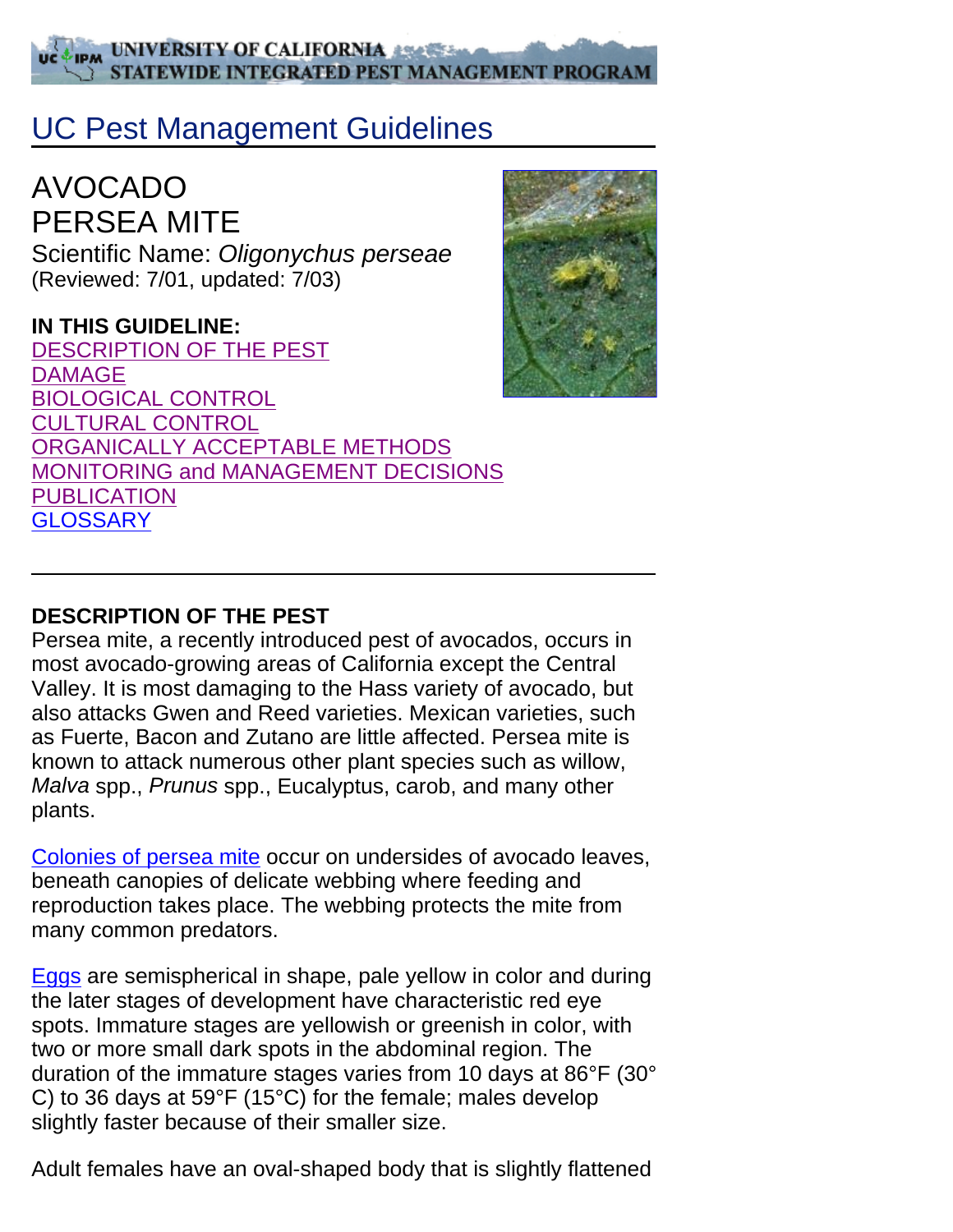#### **IPM UNIVERSITY OF CALIFORNIA** STATEWIDE INTEGRATED PEST MANAGEMENT PROGRAM

# UC Pest Management Guidelines

AVOCADO PERSEA MITE Scientific Name: *Oligonychus perseae* (Reviewed: 7/01, updated: 7/03)

#### **IN THIS GUIDELINE:**

DESCRIPTION OF THE PEST DAMAGE BIOLOGICAL CONTROL CULTURAL CONTROL ORGANICALLY ACCEPTABLE METHODS MONITORING and MANAGEMENT DECISIONS **PUBLICATION GLOSSARY** 



#### **DESCRIPTION OF THE PEST**

Persea mite, a recently introduced pest of avocados, occurs in most avocado-growing areas of California except the Central Valley. It is most damaging to the Hass variety of avocado, but also attacks Gwen and Reed varieties. Mexican varieties, such as Fuerte, Bacon and Zutano are little affected. Persea mite is known to attack numerous other plant species such as willow, *Malva* spp., *Prunus* spp., Eucalyptus, carob, and many other plants.

Colonies of persea mite occur on undersides of avocado leaves, beneath canopies of delicate webbing where feeding and reproduction takes place. The webbing protects the mite from many common predators.

Eggs are semispherical in shape, pale yellow in color and during the later stages of development have characteristic red eye spots. Immature stages are yellowish or greenish in color, with two or more small dark spots in the abdominal region. The duration of the immature stages varies from 10 days at 86°F (30° C) to 36 days at 59°F (15°C) for the female; males develop slightly faster because of their smaller size.

Adult females have an oval-shaped body that is slightly flattened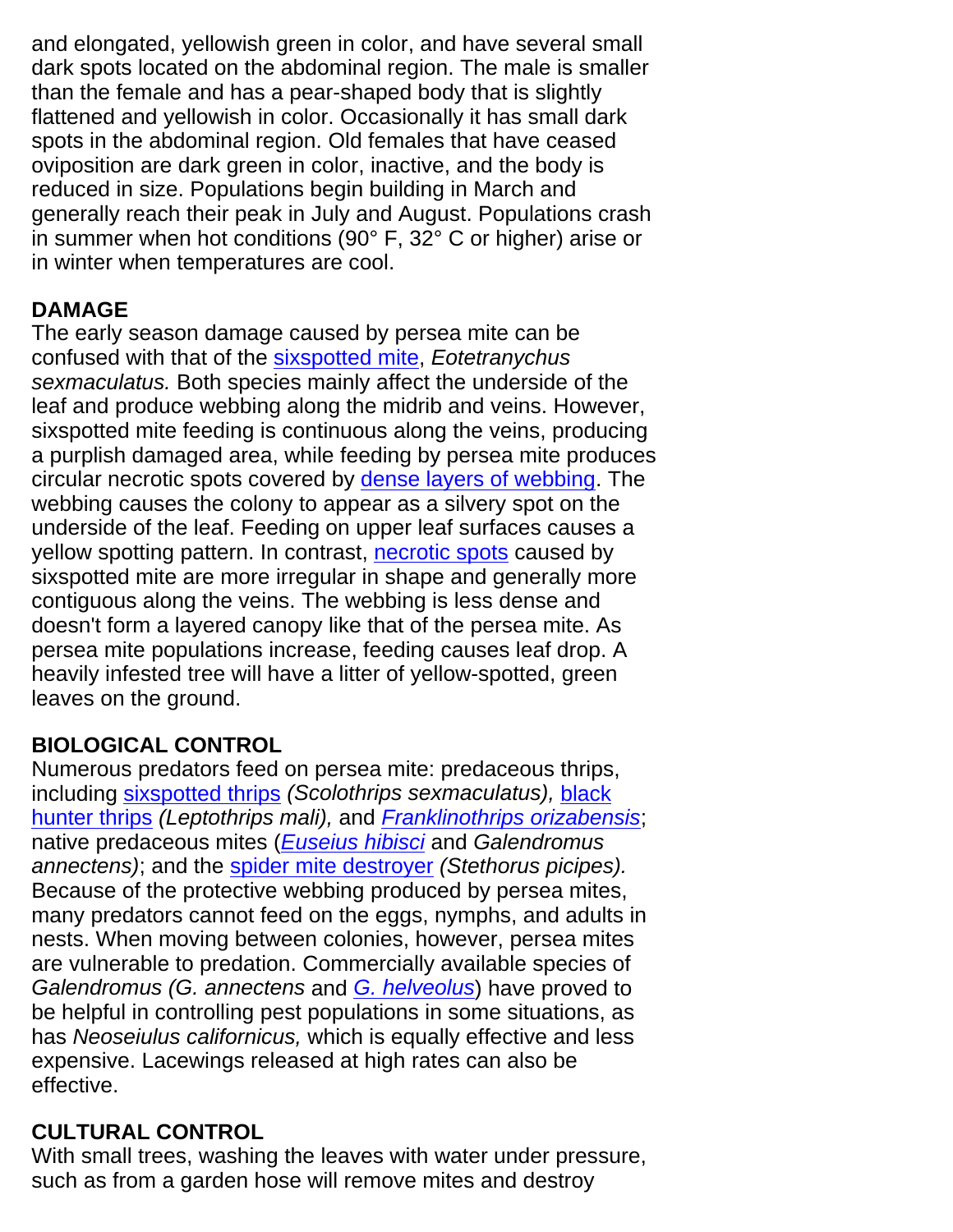and elongated, yellowish green in color, and have several small dark spots located on the abdominal region. The male is smaller than the female and has a pear-shaped body that is slightly flattened and yellowish in color. Occasionally it has small dark spots in the abdominal region. Old females that have ceased oviposition are dark green in color, inactive, and the body is reduced in size. Populations begin building in March and generally reach their peak in July and August. Populations crash in summer when hot conditions (90° F, 32° C or higher) arise or in winter when temperatures are cool.

# **DAMAGE**

The early season damage caused by persea mite can be confused with that of the sixspotted mite, *Eotetranychus sexmaculatus.* Both species mainly affect the underside of the leaf and produce webbing along the midrib and veins. However, sixspotted mite feeding is continuous along the veins, producing a purplish damaged area, while feeding by persea mite produces circular necrotic spots covered by dense layers of webbing. The webbing causes the colony to appear as a silvery spot on the underside of the leaf. Feeding on upper leaf surfaces causes a yellow spotting pattern. In contrast, necrotic spots caused by sixspotted mite are more irregular in shape and generally more contiguous along the veins. The webbing is less dense and doesn't form a layered canopy like that of the persea mite. As persea mite populations increase, feeding causes leaf drop. A heavily infested tree will have a litter of yellow-spotted, green leaves on the ground.

# **BIOLOGICAL CONTROL**

Numerous predators feed on persea mite: predaceous thrips, including sixspotted thrips *(Scolothrips sexmaculatus),* black hunter thrips *(Leptothrips mali),* and *Franklinothrips orizabensis*; native predaceous mites (*Euseius hibisci* and *Galendromus annectens)*; and the spider mite destroyer *(Stethorus picipes).* Because of the protective webbing produced by persea mites, many predators cannot feed on the eggs, nymphs, and adults in nests. When moving between colonies, however, persea mites are vulnerable to predation. Commercially available species of *Galendromus (G. annectens* and *G. helveolus*) have proved to be helpful in controlling pest populations in some situations, as has *Neoseiulus californicus,* which is equally effective and less expensive. Lacewings released at high rates can also be effective.

# **CULTURAL CONTROL**

With small trees, washing the leaves with water under pressure, such as from a garden hose will remove mites and destroy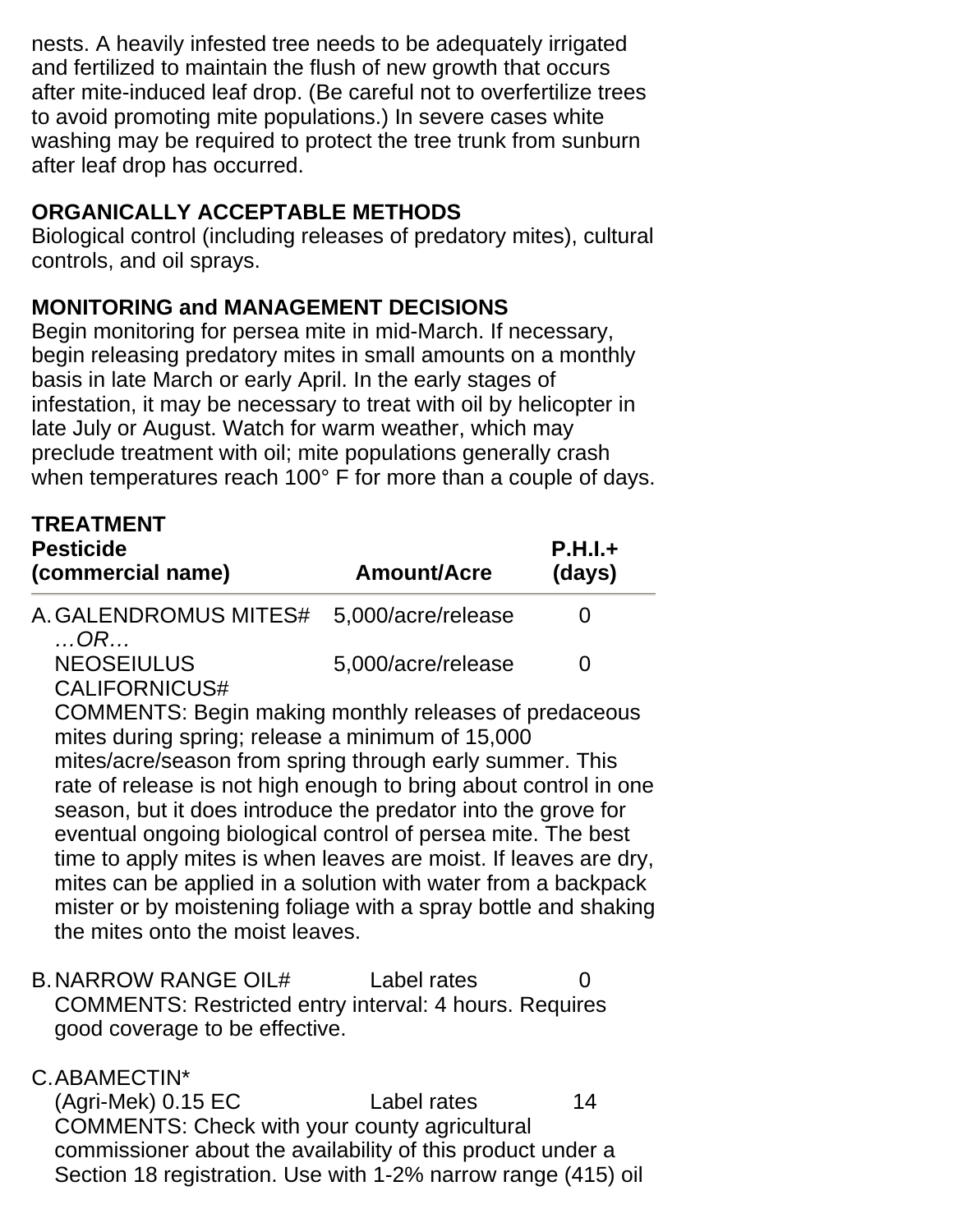nests. A heavily infested tree needs to be adequately irrigated and fertilized to maintain the flush of new growth that occurs after mite-induced leaf drop. (Be careful not to overfertilize trees to avoid promoting mite populations.) In severe cases white washing may be required to protect the tree trunk from sunburn after leaf drop has occurred.

### **ORGANICALLY ACCEPTABLE METHODS**

Biological control (including releases of predatory mites), cultural controls, and oil sprays.

# **MONITORING and MANAGEMENT DECISIONS**

Begin monitoring for persea mite in mid-March. If necessary, begin releasing predatory mites in small amounts on a monthly basis in late March or early April. In the early stages of infestation, it may be necessary to treat with oil by helicopter in late July or August. Watch for warm weather, which may preclude treatment with oil; mite populations generally crash when temperatures reach 100° F for more than a couple of days.

| <b>TREATMENT</b><br><b>Pesticide</b><br>(commercial name)                                                                                                                                                                                                                                                                                                                                                                                                                                                                                                                                                                     | Amount/Acre        | $P.H.I.+$<br>(days) |
|-------------------------------------------------------------------------------------------------------------------------------------------------------------------------------------------------------------------------------------------------------------------------------------------------------------------------------------------------------------------------------------------------------------------------------------------------------------------------------------------------------------------------------------------------------------------------------------------------------------------------------|--------------------|---------------------|
| A. GALENDROMUS MITES#<br>$\ldots$ OR                                                                                                                                                                                                                                                                                                                                                                                                                                                                                                                                                                                          | 5.000/acre/release | $\mathbf{\Omega}$   |
| <b>NEOSEIULUS</b><br>CALIFORNICUS#                                                                                                                                                                                                                                                                                                                                                                                                                                                                                                                                                                                            | 5.000/acre/release | O                   |
| <b>COMMENTS: Begin making monthly releases of predaceous</b><br>mites during spring; release a minimum of 15,000<br>mites/acre/season from spring through early summer. This<br>rate of release is not high enough to bring about control in one<br>season, but it does introduce the predator into the grove for<br>eventual ongoing biological control of persea mite. The best<br>time to apply mites is when leaves are moist. If leaves are dry,<br>mites can be applied in a solution with water from a backpack<br>mister or by moistening foliage with a spray bottle and shaking<br>the mites onto the moist leaves. |                    |                     |

B. NARROW RANGE OIL# Label rates COMMENTS: Restricted entry interval: 4 hours. Requires good coverage to be effective.

# C.ABAMECTIN\*

 (Agri-Mek) 0.15 EC Label rates 14 COMMENTS: Check with your county agricultural commissioner about the availability of this product under a Section 18 registration. Use with 1-2% narrow range (415) oil